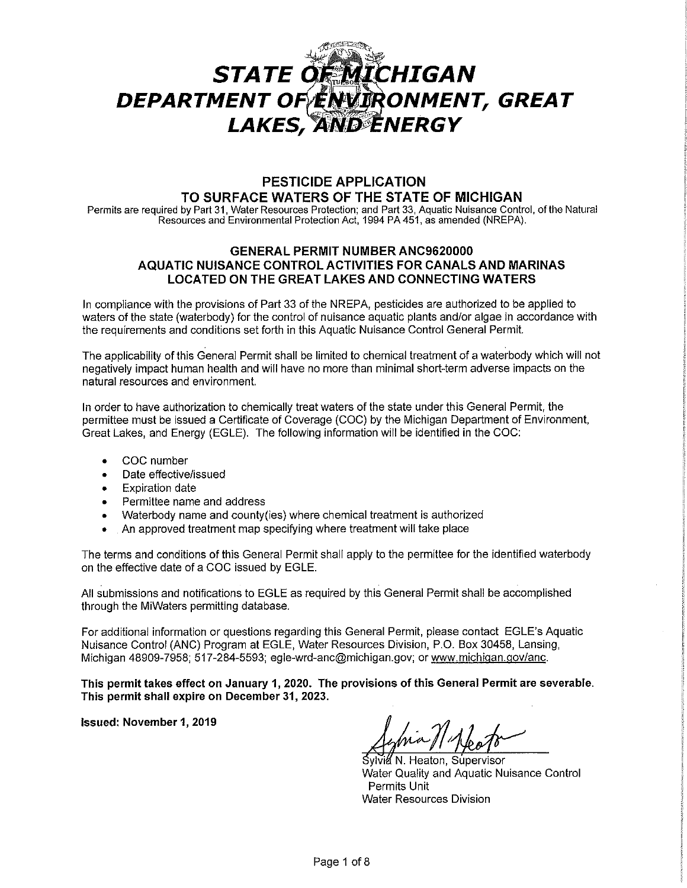# STATE OF MICHIGAN<br>DEPARTMENT OF ENVIRONMENT, GREAT **LAKES, AND ENERGY**

## **PESTICIDE APPLICATION TO SURFACE WATERS OF THE STATE OF MICHIGAN**

Permits are required by Part 31, Water Resources Protection; and Part 33, Aquatic Nuisance Control, of the Natural Resources and Environmental Protection Act, 1994 PA 451, as amended (NREPA).

## **GENERAL PERMIT NUMBER ANC9620000 AQUATIC NUISANCE CONTROL ACTIVITIES FOR CANALS AND MARINAS LOCATED ON THE GREAT LAKES AND CONNECTING WATERS**

In compliance with the provisions of Part 33 of the NREPA, pesticides are authorized to be applied to waters of the state (waterbody) for the control of nuisance aquatic plants and/or algae in accordance with the requirements and conditions set forth in this Aquatic Nuisance Control General Permit.

The applicability of this General Permit shall be limited to chemical treatment of a waterbody which will not negatively impact human health and will have no more than minimal short-term adverse impacts on the natural resources and environment.

In order to have authorization to chemically treat waters of the state under this General Permit, the permittee must be issued a Certificate of Coverage (COC) by the Michigan Department of Environment, Great Lakes, and Energy (EGLE). The following information will be identified in the COC:

- COC number
- Date effective/issued
- **Expiration date**
- Permittee name and address
- Waterbody name and county(ies) where chemical treatment is authorized
- An approved treatment map specifying where treatment will take place

The terms and conditions of this General Permit shall apply to the permittee for the identified waterbody on the effective date of a COC issued by EGLE.

All submissions and notifications to EGLE as required by this General Permit shall be accomplished through the MiWaters permitting database.

For additional information or questions regarding this General Permit, please contact EGLE's Aquatic Nuisance Control (ANC) Program at EGLE, Water Resources Division, P.O. Box 30458, Lansing, Michigan 48909-7958; 517-284-5593; egle-wrd-anc@michigan.gov; or www.michigan.gov/anc.

**This permit takes effect on January 1, 2020. The provisions of this General Permit are severable. This permit shall expire on December 31, 2023.** 

**Issued: November 1, 2019** 

Sylvia N. Heaton, Supervisor Water Quality and Aquatic Nuisance Control Permits Unit Water Resources Division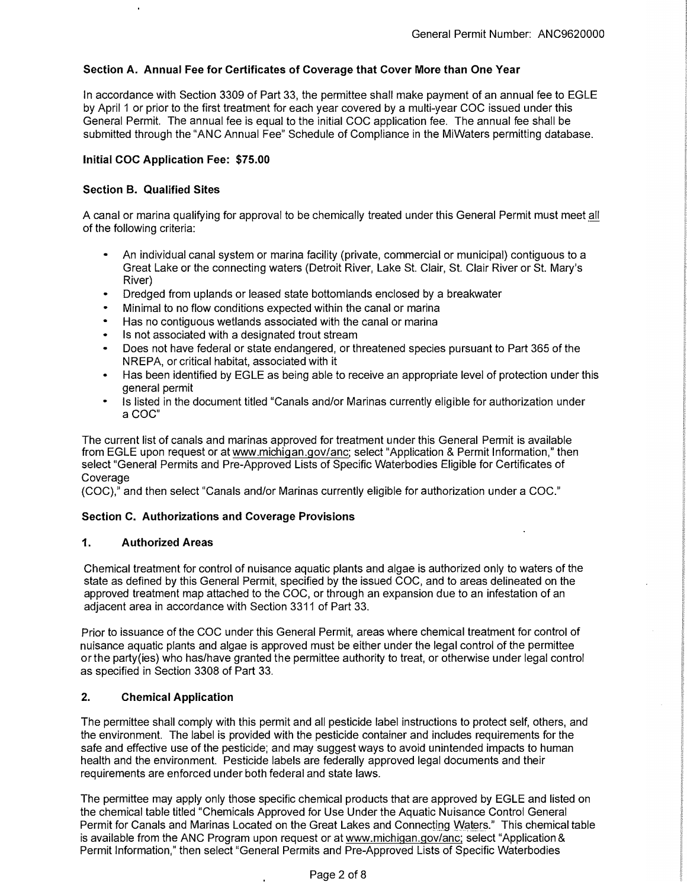## **Section A. Annual Fee for Certificates of Coverage that Cover More than One Year**

In accordance with Section 3309 of Part 33, the permittee shall make payment of an annual fee to EGLE by April 1 or prior to the first treatment for each year covered by a multi-year COG issued under this General Permit. The annual fee is equal to the initial COG application fee. The annual fee shall be submitted through the "ANG Annual Fee" Schedule of Compliance in the MiWaters permitting database.

#### **Initial CDC Application Fee: \$75.00**

#### **Section B. Qualified Sites**

A canal or marina qualifying for approval to be chemically treated under this General Permit must meet all of the following criteria:

- An individual canal system or marina facility (private, commercial or municipal) contiguous to a Great Lake or the connecting waters (Detroit River, Lake St. Clair, St. Clair River or St. Mary's River)
- Dredged from uplands or leased state bottomlands enclosed by a breakwater
- Minimal to no flow conditions expected within the canal or marina
- Has no contiguous wetlands associated with the canal or marina
- Is not associated with a designated trout stream
- Does not have federal or state endangered, or threatened species pursuant to Part 365 of the NREPA, or critical habitat, associated with it
- Has been identified by EGLE as being able to receive an appropriate level of protection under this general permit
- Is listed in the document titled "Canals and/or Marinas currently eligible for authorization under aCOC"

The current list of canals and marinas approved for treatment under this General Permit is available from EGLE upon request or at www.michigan.gov/anc; select "Application & Permit lnformatlon," then select "General Permits and Pre-Approved Lists of Specific Waterbodies Eligible for Certificates of *Coverage* 

(COG)," and then select "Canals and/or Marinas currently eligible for authorization under a COG."

#### **Section C. Authorizations and Coverage Provisions**

#### **1. Authorized Areas**

Chemical treatment for control of nuisance aquatic plants and algae is authorized only to waters of the state as defined by this General Permit, specified by the issued COC, and to areas delineated on the approved treatment map attached to the COG, or through an expansion due to an infestation of an adjacent area in accordance with Section 3311 of Part 33.

Prior to issuance of the COG under this General Permit, areas where chemical treatment for control of nuisance aquatic plants and algae is approved must be either under the legal control of the permittee or the party(ies) who has/have granted the permittee authority to treat, or otherwise under legal control as specified in Section 3308 of Part 33.

#### **2. Chemical Application**

The permittee shall comply with this permit and all pesticide label instructions to protect self, others, and the environment. The label is provided with the pesticide container and includes requirements for the safe and effective use of the pesticide; and may suggest ways to avoid unintended impacts to human health and the environment. Pesticide labels are federally approved legal documents and thelr requirements are enforced under both federal and state laws.

The permittee may apply only those specific chemical products that are approved by EGLE and listed on the chemical table titled "Chemicals Approved for Use Under the Aquatic Nuisance Control General Permit for Canals and Marinas Located on the Great Lakes and Connecting Waters." This chemical table is available from the ANG Program upon request or at www.michigan.gov/anc; select "Application & Permit Information," then select "General Permits and Pre-Approved Lists of Specific Waterbodies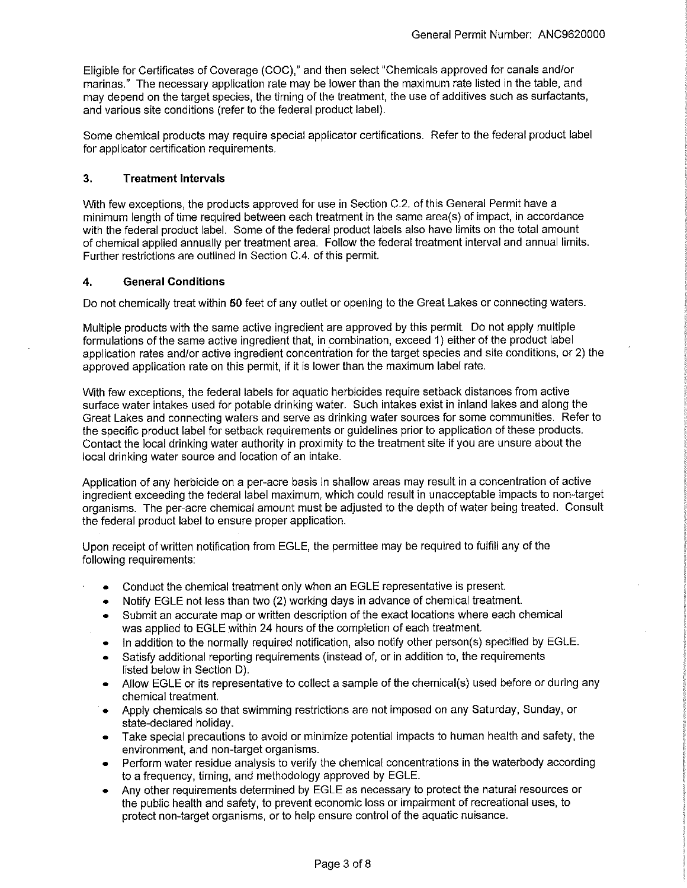Eligible for Certificates of Coverage (COG)," and then select "Chemicals approved for canals and/or marinas." The necessary application rate may be lower than the maximum rate listed in the table, and may depend on the target species, the timing of the treatment, the use of additives such as surfactants, and various site conditions (refer to the federal product label).

Some chemical products may require special applicator certifications. Refer to the federal product label for applicator certification requirements.

## **3. Treatment Intervals**

With few exceptions, the products approved for use in Section C.2. of this General Permit have a minimum length of time required between each treatment in the same area(s) of impact, in accordance with the federal product label. Some of the federal product labels also have limits on the total amount of chemical applied annually per treatment area. Follow the federal treatment interval and annual limits. Further restrictions are outlined in Section C.4. of this permit.

## **4. General Conditions**

Do not chemically treat within **50** feet of any outlet or opening to the Great Lakes or connecting waters.

Multiple products with the same active ingredient are approved by this permit. Do not apply multiple formulations of the same active ingredient that, in combination, exceed 1) either of the product label application rates and/or active ingredient concentration for the target species and site conditions, or 2) the approved application rate on this permit, if it is lower than the maximum label rate.

With few exceptions, the federal labels for aquatic herbicides require setback distances from active surface water intakes used for potable drinking water. Such intakes exist in inland lakes and along the Great Lakes and connecting waters and serve as drinking water sources for some communities. Refer to the specific product label for setback requirements or guidelines prior to application of these products. Contact the local drinking water authority in proximity to the treatment site if you are unsure about the local drinking water source and location of an intake.

Application of any herbicide on a per-acre basis in shallow areas may result in a concentration of active ingredient exceeding the federal label maximum, which could result in unacceptable impacts to non-target organisms. The per-acre chemical amount must be adjusted to the depth of water being treated. Consult the federal product label to ensure proper application.

Upon receipt of written notification from EGLE, the permittee may be required to fulfill any of the following requirements:

- Conduct the chemical treatment only when an EGLE representative is present.
- Notify EGLE not less than two (2) working days in advance of chemical treatment.
- Submit an accurate map or written description of the exact locations where each chemical was applied to EGLE within 24 hours of the completion of each treatment.
- In addition to the normally required notification, also notify other person(s) specified by EGLE.
- Satisfy additional reporting requirements (instead of, or in addition to, the requirements listed below in Section D).
- Allow EGLE or its representative to collect a sample of the chemical(s) used before or during any chemical treatment.
- Apply chemicals so that swimming restrictions are not imposed on any Saturday, Sunday, or state-declared holiday.
- Take special precautions to avoid or minimize potential impacts to human health and safety, the environment, and non-target organisms.
- Perform water residue analysis to verify the chemical concentrations in the waterbody according to a frequency, timing, and methodology approved by EGLE.
- Any other requirements determined by EGLE as necessary to protect the natural resources or the public health and safety, to prevent economic loss or impairment of recreational uses, to protect non-target organisms, or to help ensure control of the aquatic nuisance.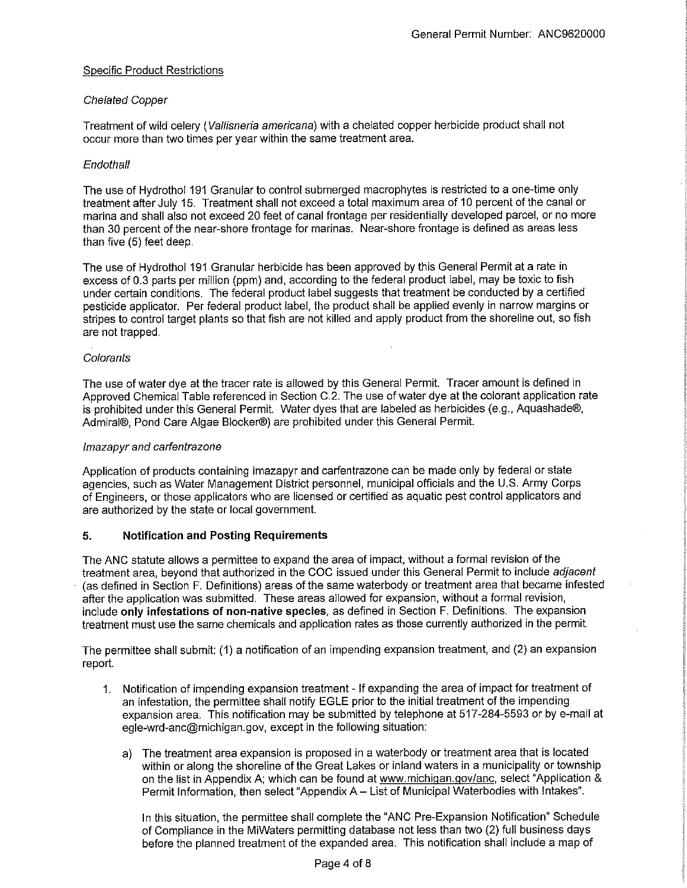## Specific Product Restrictions

## Chelated Copper

Treatment of wild celery (Vallisneria americana) with a chelated copper herbicide product shall not occur more than two times per year within the same treatment area.

## **Endothall**

The use of Hydrothol 191 Granular to control submerged macrophytes is restricted to a one-time only treatment after July 15. Treatment shall not exceed a total maximum area of 10 percent of the canal or marina and shall also not exceed 20 feet of canal frontage per residentially developed parcel, or no more than 30 percent of the near-shore frontage for marinas. Near-shore frontage is defined as areas less than five (5) feet deep.

The use of Hydrothol 191 Granular herbicide has been approved by this General Permit at a rate in excess of 0.3 parts per million (ppm) and, according to the federal product label, may be toxic to fish under certain conditions. The federal product label suggests that treatment be conducted by a certified pesticide applicator. Per federal product label, the product shall be applied evenly in narrow margins or stripes to control target plants so that fish are not killed and apply product from the shoreline out, so fish are not trapped.

## **Colorants**

The use of water dye at the tracer rate is allowed by this General Permit. Tracer amount is defined in Approved Chemical Table referenced in Section C.2. The use of water dye at the colorant application rate is prohibited under this General Permit. Water dyes that are labeled as herbicides (e.g., Aquashade®, Admiral®, Pond Care Algae Blocker®) are prohibited under this General Permit.

#### lmazapyr and carfenlrazone

Application of products containing imazapyr and carfentrazone can be made only by federal or state agencies, such as Water Management District personnel, municipal officials and the U.S. Army Corps of Engineers, or those applicators who are licensed or certified as aquatic pest control applicators and are authorized by the state or local government.

#### **5. Notification and Posting Requirements**

The ANG statute allows a permittee to expand the area of impact, without a formal revision of the treatment area, beyond that authorized in the COC issued under this General Permit to include adiacent (as defined in Section F. Definitions) areas of the same waterbody or treatment area that became infested after the application was submitted. These areas allowed for expansion, without a formal revision, include **only infestations of non-native species,** as defined in Section F. Definitions. The expansion treatment must use the same chemicals and application rates as those currently authorized in the permit.

The permittee shall submit: (1) a notification of an impending expansion treatment, and (2) an expansion report.

- 1. Notification of impending expansion treatment If expanding the area of impact for treatment of an infestation, the permittee shall notify EGLE prior to the initial treatment of the impending expansion area. This notification may be submitted by telephone at 517-284-5593 or by e-mail at egle-wrd-anc@michigan.gov, except in the following situation:
	- a) The treatment area expansion is proposed in a waterbody or treatment area that is located within or along the shoreline of the Great Lakes or inland waters in a municipality or township on the list in Appendix A; which can be found at www.michigan.gov/anc, select "Application & Permit Information, then select "Appendix A- List of Municipal Waterbodies with Intakes".

In this situation, the permittee shall complete the "ANG Pre-Expansion Notification" Schedule of Compliance in the MiWaters permitting database not less than two (2) full business days before the planned treatment of the expanded area. This notification shall include a map of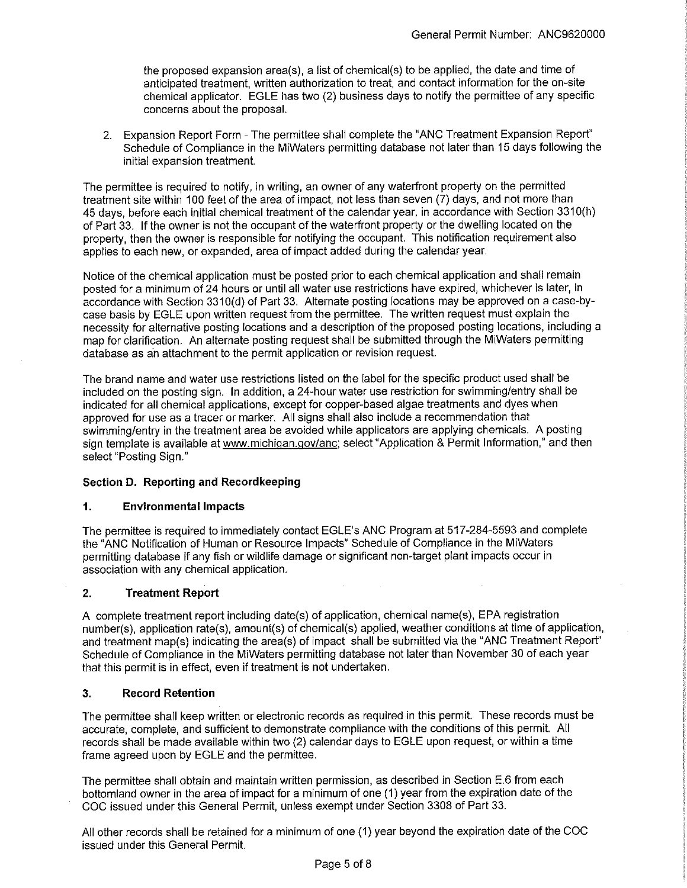the proposed expansion area(s), a list of chemical(s) to be applied, the date and time of anticipated treatment, written authorization to treat, and contact information for the on-site chemical applicator. EGLE has two (2) business days to notify the permittee of any specific concerns about the proposal.

2. Expansion Report Form - The permittee shall complete the "ANG Treatment Expansion Report" Schedule of Compliance in the MiWaters permitting database not later than 15 days following the initial expansion treatment.

The permittee is required to notify, in writing, an owner of any waterfront property on the permitted treatment site within 100 feet of the area of impact, not less than seven (7) days, and not more than 45 days, before each initial chemical treatment of the calendar year, in accordance with Section 331 0(h) of Part 33. If the owner is not the occupant of the waterfront property or the dwelling located on the property, then the owner is responsible for notifying the occupant. This notification requirement also applies to each new, or expanded, area of impact added during the calendar year.

Notice of the chemical application must be posted prior to each chemical application and shall remain posted for a minimum of 24 hours or until all water use restrictions have expired, whichever is later, in accordance with Section 3310(d) of Part 33. Alternate posting locations may be approved on a case-bycase basis by EGLE upon written request from the permittee. The written request must explain the necessity for alternative posting locations and a description of the proposed posting locations, including a map for clarification. An alternate posting request shall be submitted through the MiWaters permitting database as an attachment to the permit application or revision request.

The brand name and water use restrictions listed on the label for the specific product used shall be included on the posting sign. In addition, a 24-hour water use restriction for swimming/entry shall be indicated for all chemical applications, except for copper-based algae treatments and dyes when approved for use as a tracer or marker. All signs shall also include a recommendation that swimming/entry in the treatment area be avoided while applicators are applying chemicals. A posting sign template is available at www.michigan.gov/anc; select "Application & Permit Information," and then select "Posting Sign."

#### **Section D. Reporting and Recordkeeping**

#### **1. Environmental Impacts**

The permittee is required to immediately contact EGLE's ANG Program at 517-284-5593 and complete the "ANG Notification of Human or Resource Impacts" Schedule of Compliance in the MiWaters permitting database if any fish or wildlife damage or significant non-target plant impacts occur in association with any chemical application.

## **2. Treatment Report**

A complete treatment report including date(s) of application, chemical name(s), EPA registration number(s), application rate(s), amount(s) of chemical(s) applied, weather conditions at time of application, and treatment map(s) indicating the area(s) of impact shall be submitted via the "ANG Treatment Report" Schedule of Compliance in the MiWaters permitting database not later than November 30 of each year that this permit is in effect, even if treatment is not undertaken.

## **3. Record Retention**

The permittee shall keep written or electronic records as required in this permit. These records must be accurate, complete, and sufficient to demonstrate compliance with the conditions of this permit. All records shall be made available within two (2) calendar days to EGLE upon request, or within a time frame agreed upon by EGLE and the permittee.

The permittee shall obtain and maintain written permission, as described in Section E.6 from each bottomland owner in the area of impact for a minimum of one (1) year from the expiration date of the COG issued under this General Permit, unless exempt under Section 3308 of Part 33.

All other records shall be retained for a minimum of one (1) year beyond the expiration date of the COG issued under this General Permit.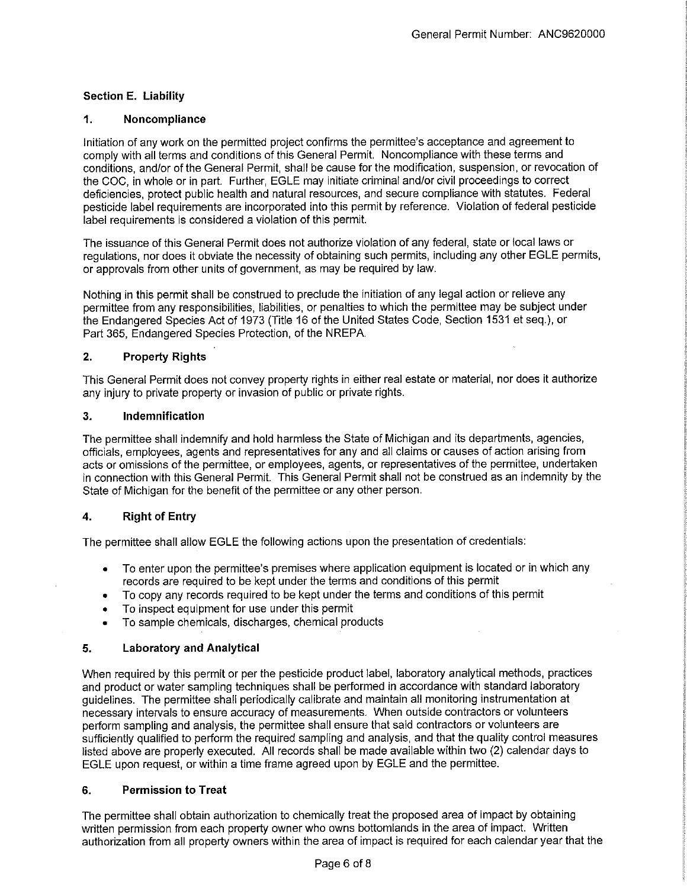## **Section E. Liability**

## **1. Noncompliance**

Initiation of any work on the permitted project confirms the permittee's acceptance and agreement to comply with all terms and conditions of this General Permit. Noncompliance with these terms and conditions, and/or of the General Permit, shall be cause for the modification, suspension, or revocation of the COG, in whole or in part. Further, EGLE may initiate criminal and/or civil proceedings to correct deficiencies, protect public health and natural resources, and secure compliance with statutes. Federal pesticide label requirements are incorporated into this permit by reference. Violation of federal pesticide label requirements is considered a violation of this permit.

The issuance of this General Permit does not authorize violation of any federal, state or local laws or regulations, nor does it obviate the necessity of obtaining such permits, including any other EGLE permits, or approvals from other units of government, as may be required by law.

Nothing in this permit shall be construed to preclude the initiation of any legal action or relieve any permittee from any responsibilities, liabilities, or penalties to which the permittee may be subject under the Endangered Species Act of 1973 (Title 16 of the United States Code, Section 1531 et seq.), or Part 365, Endangered Species Protection, of the NREPA.

## **2. Property Rights**

This General Permit does not convey property rights in either real estate or material, nor does it authorize any injury to private property or invasion of public or private rights.

#### **3. Indemnification**

The permittee shall indemnify and hold harmless the State of Michigan and its departments, agencies, officials, employees, agents and representatives for any and all claims or causes of action arising from acts or omissions of the permittee, or employees, agents, or representatives of the permittee, undertaken in connection with this General Permit. This General Permit shall not be construed as an indemnity by the State of Michigan for the benefit of the permittee or any other person.

## **4. Right of Entry**

The permittee shall allow EGLE the following actions upon the presentation of credentials:

- To enter upon the permittee's premises where application equipment is located or in which any records are required to be kept under the terms and conditions of this permit
- To copy any records required to be kept under the terms and conditions of this permit
- To inspect equipment for use under this permit
- To sample chemicals, discharges, chemical products

#### **5. Laboratory and Analytical**

When required by this permit or per the pesticide product label, laboratory analytical methods, practices and product or water sampling techniques shall be performed in accordance with standard laboratory guidelines. The permittee shall periodically calibrate and maintain all monitoring instrumentation at necessary intervals to ensure accuracy of measurements. When outside contractors or volunteers perform sampling and analysis, the permittee shall ensure that said contractors or volunteers are sufficiently qualified to perform the required sampling and analysis, and that the quality control measures listed above are properly executed. All records shall be made available within two (2) calendar days to EGLE upon request, or within a time frame agreed upon by EGLE and the permittee.

#### **6. Permission to Treat**

The permittee shall obtain authorization to chemically treat the proposed area of impact by obtaining written permission from each property owner who owns bottomlands in the area of impact. Written authorization from all property owners within the area of impact is required for each calendar year that the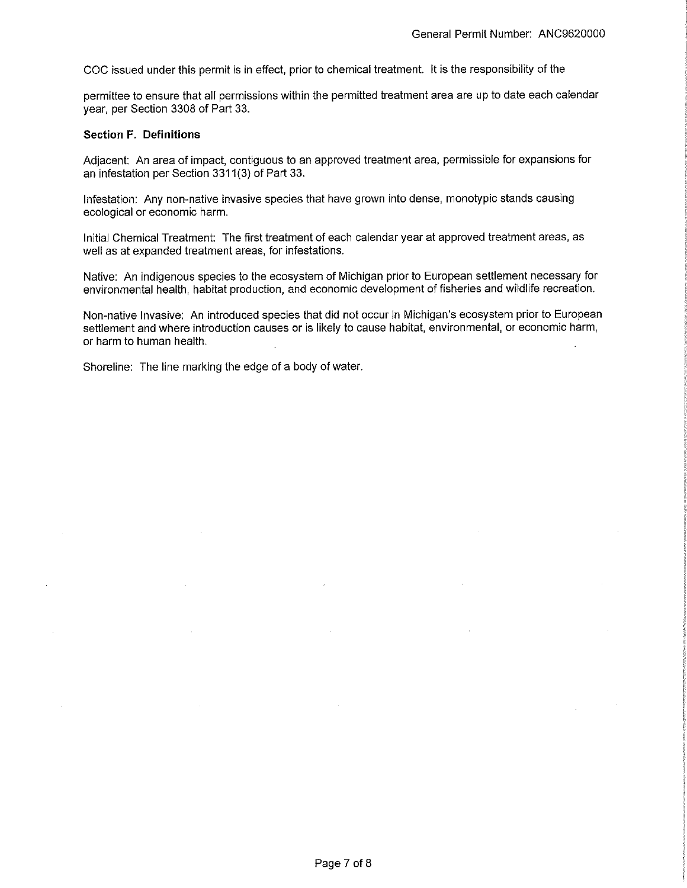COC issued under this permit is in effect, prior to chemical treatment. It is the responsibility of the

permittee to ensure that all permissions within the permitted treatment area are up to date each calendar year, per Section 3308 of Part 33.

#### **Section F. Definitions**

Adjacent: An area of impact, contiguous to an approved treatment area, permissible for expansions for an infestation per Section 3311(3) of Part 33.

Infestation: Any non-native invasive species that have grown into dense, monotypic stands causing ecological or economic harm.

Initial Chemical Treatment: The first treatment of each calendar year at approved treatment areas, as well as at expanded treatment areas, for infestations.

Native: An indigenous species to the ecosystem of Michigan prior to European settlement necessary for environmental health, habitat production, and economic development of fisheries and wildlife recreation.

Non-native Invasive: An introduced species that did not occur in Michigan's ecosystem prior to European settlement and where introduction causes or is likely to cause habitat, environmental, or economic harm, or harm to human health.

Shoreline: The line marking the edge of a body of water.